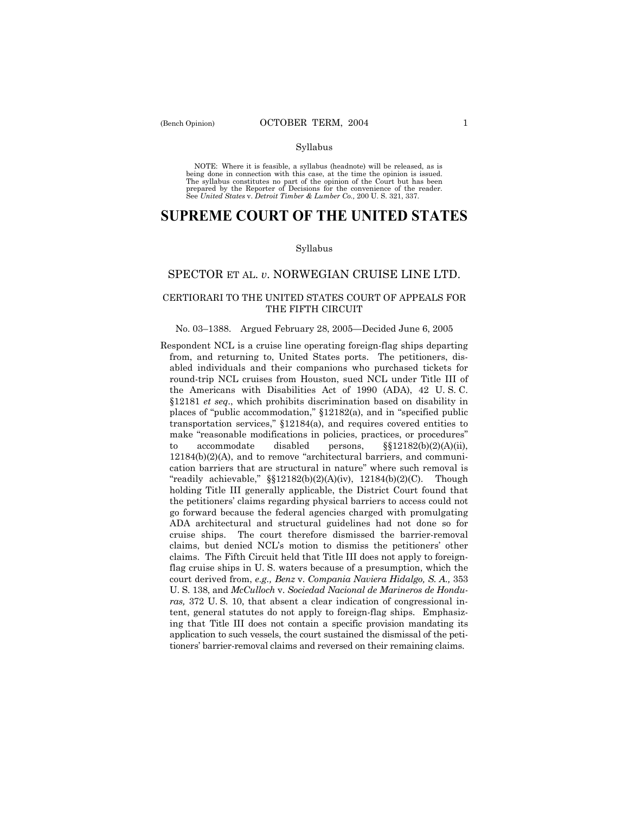NOTE: Where it is feasible, a syllabus (headnote) will be released, as is being done in connection with this case, at the time the opinion is issued. The syllabus constitutes no part of the opinion of the Court but has been<br>prepared by the Reporter of Decisions for the convenience of the reader.<br>See United States v. Detroit Timber & Lumber Co., 200 U. S. 321, 337.

# **SUPREME COURT OF THE UNITED STATES**

#### Syllabus

## SPECTOR ET AL. *v*. NORWEGIAN CRUISE LINE LTD.

# CERTIORARI TO THE UNITED STATES COURT OF APPEALS FOR THE FIFTH CIRCUIT

#### No. 03–1388. Argued February 28, 2005–Decided June 6, 2005

Respondent NCL is a cruise line operating foreign-flag ships departing from, and returning to, United States ports. The petitioners, disabled individuals and their companions who purchased tickets for round-trip NCL cruises from Houston, sued NCL under Title III of the Americans with Disabilities Act of 1990 (ADA), 42 U. S. C. ß12181 *et seq*., which prohibits discrimination based on disability in places of "public accommodation,"  $$12182(a)$ , and in "specified public transportation services,"  $$12184(a)$ , and requires covered entities to make "reasonable modifications in policies, practices, or procedures" to accommodate disabled persons,  $\S212182(b)(2)(A)(ii)$ ,  $12184(b)(2)(A)$ , and to remove "architectural barriers, and communication barriers that are structural in nature" where such removal is "readily achievable,"  $\S(12182(b)(2)(A)(iv)$ ,  $12184(b)(2)(C)$ . Though holding Title III generally applicable, the District Court found that the petitioners' claims regarding physical barriers to access could not go forward because the federal agencies charged with promulgating ADA architectural and structural guidelines had not done so for cruise ships. The court therefore dismissed the barrier-removal claims, but denied NCL's motion to dismiss the petitioners' other claims. The Fifth Circuit held that Title III does not apply to foreignflag cruise ships in U. S. waters because of a presumption, which the court derived from, *e.g., Benz* v. *Compania Naviera Hidalgo, S. A.,* 353 U. S. 138, and *McCulloch* v. *Sociedad Nacional de Marineros de Honduras,* 372 U. S. 10, that absent a clear indication of congressional intent, general statutes do not apply to foreign-flag ships. Emphasizing that Title III does not contain a specific provision mandating its application to such vessels, the court sustained the dismissal of the petitionersí barrier-removal claims and reversed on their remaining claims.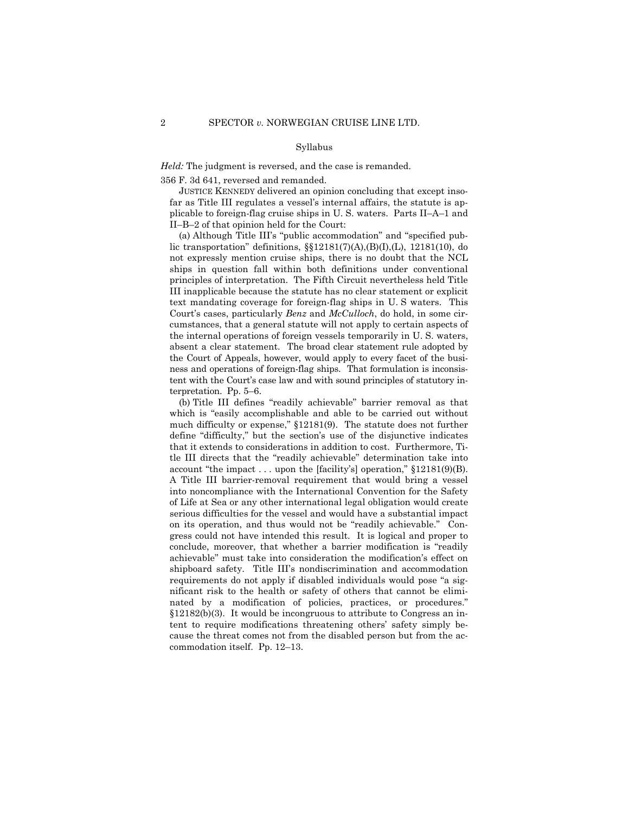*Held:* The judgment is reversed, and the case is remanded.

356 F. 3d 641, reversed and remanded.

 JUSTICE KENNEDY delivered an opinion concluding that except insofar as Title III regulates a vessel's internal affairs, the statute is applicable to foreign-flag cruise ships in U.S. waters. Parts II-A-1 and  $II-B-2$  of that opinion held for the Court:

(a) Although Title III's "public accommodation" and "specified public transportation" definitions,  $\S$ [12181(7)(A),(B)(I),(L), 12181(10), do not expressly mention cruise ships, there is no doubt that the NCL ships in question fall within both definitions under conventional principles of interpretation. The Fifth Circuit nevertheless held Title III inapplicable because the statute has no clear statement or explicit text mandating coverage for foreign-flag ships in U. S waters. This Court's cases, particularly *Benz* and *McCulloch*, do hold, in some circumstances, that a general statute will not apply to certain aspects of the internal operations of foreign vessels temporarily in U. S. waters, absent a clear statement. The broad clear statement rule adopted by the Court of Appeals, however, would apply to every facet of the business and operations of foreign-flag ships. That formulation is inconsistent with the Court's case law and with sound principles of statutory interpretation. Pp.  $5-6$ .

(b) Title III defines "readily achievable" barrier removal as that which is "easily accomplishable and able to be carried out without much difficulty or expense,"  $$12181(9)$ . The statute does not further define "difficulty," but the section's use of the disjunctive indicates that it extends to considerations in addition to cost. Furthermore, Title III directs that the "readily achievable" determination take into account "the impact . . . upon the [facility's] operation,"  $$12181(9)(B)$ . A Title III barrier-removal requirement that would bring a vessel into noncompliance with the International Convention for the Safety of Life at Sea or any other international legal obligation would create serious difficulties for the vessel and would have a substantial impact on its operation, and thus would not be "readily achievable." Congress could not have intended this result. It is logical and proper to conclude, moreover, that whether a barrier modification is "readily achievable" must take into consideration the modification's effect on shipboard safety. Title III's nondiscrimination and accommodation requirements do not apply if disabled individuals would pose "a significant risk to the health or safety of others that cannot be eliminated by a modification of policies, practices, or procedures."  $§12182(b)(3)$ . It would be incongruous to attribute to Congress an intent to require modifications threatening others' safety simply because the threat comes not from the disabled person but from the accommodation itself. Pp. 12–13.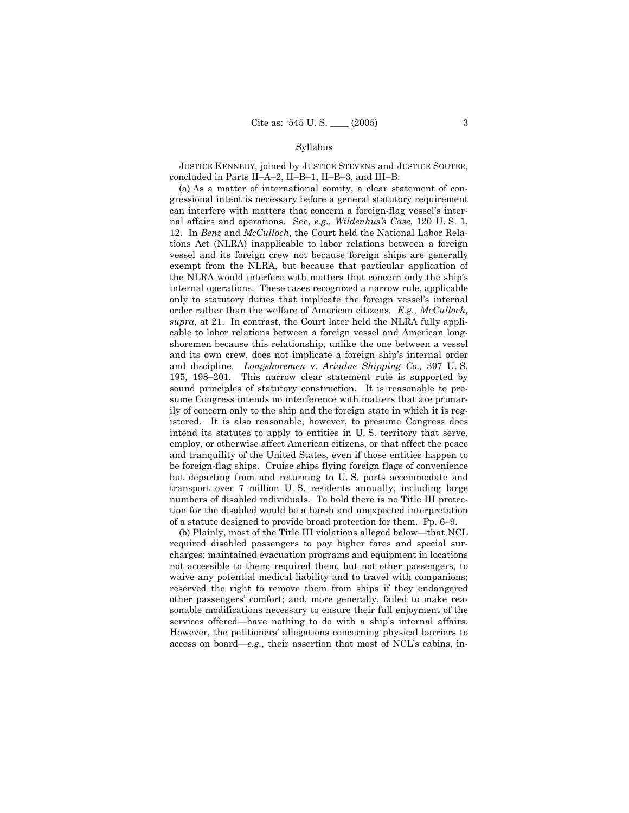JUSTICE KENNEDY, joined by JUSTICE STEVENS and JUSTICE SOUTER, concluded in Parts II-A-2, II-B-1, II-B-3, and III-B:

 (a) As a matter of international comity, a clear statement of congressional intent is necessary before a general statutory requirement can interfere with matters that concern a foreign-flag vessel's internal affairs and operations. See, *e.g., Wildenhusís Case*, 120 U. S. 1, 12. In *Benz* and *McCulloch*, the Court held the National Labor Relations Act (NLRA) inapplicable to labor relations between a foreign vessel and its foreign crew not because foreign ships are generally exempt from the NLRA, but because that particular application of the NLRA would interfere with matters that concern only the ship's internal operations. These cases recognized a narrow rule, applicable only to statutory duties that implicate the foreign vessel's internal order rather than the welfare of American citizens. *E.g., McCulloch, supra*, at 21. In contrast, the Court later held the NLRA fully applicable to labor relations between a foreign vessel and American longshoremen because this relationship, unlike the one between a vessel and its own crew, does not implicate a foreign shipís internal order and discipline. *Longshoremen* v. *Ariadne Shipping Co.,* 397 U. S. 195, 198 $-201$ . This narrow clear statement rule is supported by sound principles of statutory construction. It is reasonable to presume Congress intends no interference with matters that are primarily of concern only to the ship and the foreign state in which it is registered. It is also reasonable, however, to presume Congress does intend its statutes to apply to entities in U. S. territory that serve, employ, or otherwise affect American citizens, or that affect the peace and tranquility of the United States, even if those entities happen to be foreign-flag ships. Cruise ships flying foreign flags of convenience but departing from and returning to U. S. ports accommodate and transport over 7 million U. S. residents annually, including large numbers of disabled individuals. To hold there is no Title III protection for the disabled would be a harsh and unexpected interpretation of a statute designed to provide broad protection for them.  $Pp. 6-9$ .

(b) Plainly, most of the Title III violations alleged below—that  $NCL$ required disabled passengers to pay higher fares and special surcharges; maintained evacuation programs and equipment in locations not accessible to them; required them, but not other passengers, to waive any potential medical liability and to travel with companions; reserved the right to remove them from ships if they endangered other passengersí comfort; and, more generally, failed to make reasonable modifications necessary to ensure their full enjoyment of the services offered—have nothing to do with a ship's internal affairs. However, the petitionersí allegations concerning physical barriers to access on board—e.g., their assertion that most of NCL's cabins, in-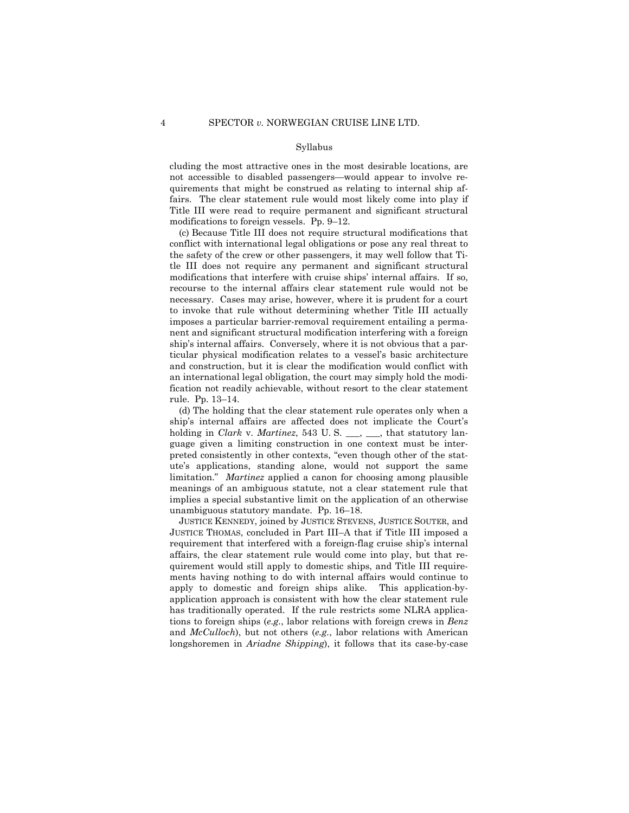cluding the most attractive ones in the most desirable locations, are not accessible to disabled passengers—would appear to involve requirements that might be construed as relating to internal ship affairs. The clear statement rule would most likely come into play if Title III were read to require permanent and significant structural modifications to foreign vessels. Pp.  $9-12$ .

 (c) Because Title III does not require structural modifications that conflict with international legal obligations or pose any real threat to the safety of the crew or other passengers, it may well follow that Title III does not require any permanent and significant structural modifications that interfere with cruise ships' internal affairs. If so, recourse to the internal affairs clear statement rule would not be necessary. Cases may arise, however, where it is prudent for a court to invoke that rule without determining whether Title III actually imposes a particular barrier-removal requirement entailing a permanent and significant structural modification interfering with a foreign ship's internal affairs. Conversely, where it is not obvious that a particular physical modification relates to a vesselís basic architecture and construction, but it is clear the modification would conflict with an international legal obligation, the court may simply hold the modification not readily achievable, without resort to the clear statement rule. Pp. 13-14.

 (d) The holding that the clear statement rule operates only when a ship's internal affairs are affected does not implicate the Court's holding in *Clark* v. *Martinez*, 543 U.S. \_\_\_, \_\_\_, that statutory language given a limiting construction in one context must be interpreted consistently in other contexts, "even though other of the statuteís applications, standing alone, would not support the same limitation.<sup>n</sup> *Martinez* applied a canon for choosing among plausible meanings of an ambiguous statute, not a clear statement rule that implies a special substantive limit on the application of an otherwise unambiguous statutory mandate. Pp. 16-18.

 JUSTICE KENNEDY, joined by JUSTICE STEVENS, JUSTICE SOUTER, and JUSTICE THOMAS, concluded in Part III–A that if Title III imposed a requirement that interfered with a foreign-flag cruise ship's internal affairs, the clear statement rule would come into play, but that requirement would still apply to domestic ships, and Title III requirements having nothing to do with internal affairs would continue to apply to domestic and foreign ships alike. This application-byapplication approach is consistent with how the clear statement rule has traditionally operated. If the rule restricts some NLRA applications to foreign ships (*e.g.*, labor relations with foreign crews in *Benz* and *McCulloch*), but not others (*e.g.*, labor relations with American longshoremen in *Ariadne Shipping*), it follows that its case-by-case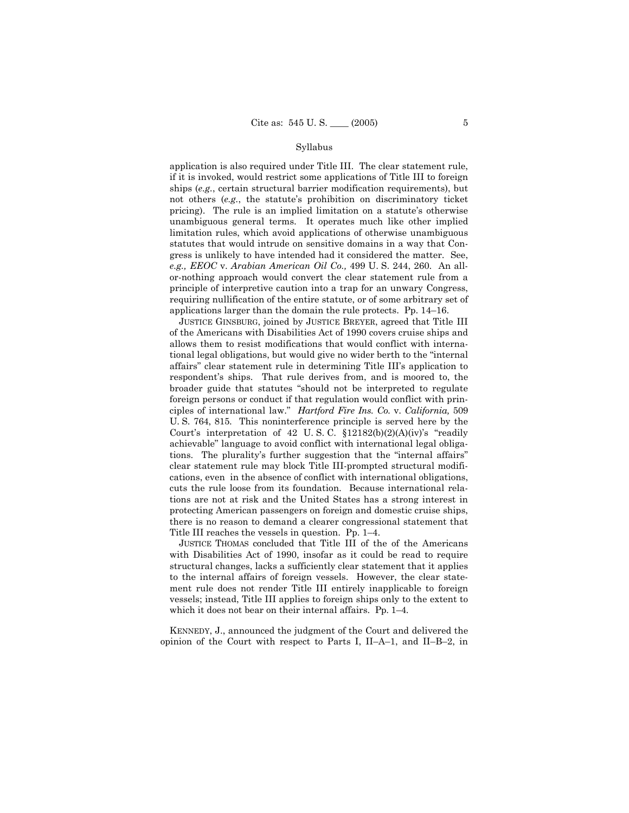application is also required under Title III. The clear statement rule, if it is invoked, would restrict some applications of Title III to foreign ships (e.g., certain structural barrier modification requirements), but not others (e.g., the statute's prohibition on discriminatory ticket pricing). The rule is an implied limitation on a statute's otherwise unambiguous general terms. It operates much like other implied limitation rules, which avoid applications of otherwise unambiguous statutes that would intrude on sensitive domains in a way that Congress is unlikely to have intended had it considered the matter. See, e.g., EEOC v. Arabian American Oil Co., 499 U.S. 244, 260. An allor-nothing approach would convert the clear statement rule from a principle of interpretive caution into a trap for an unwary Congress, requiring nullification of the entire statute, or of some arbitrary set of applications larger than the domain the rule protects. Pp.  $14-16$ .

JUSTICE GINSBURG, joined by JUSTICE BREYER, agreed that Title III of the Americans with Disabilities Act of 1990 covers cruise ships and allows them to resist modifications that would conflict with international legal obligations, but would give no wider berth to the "internal" affairs" clear statement rule in determining Title III's application to respondent's ships. That rule derives from, and is moored to, the broader guide that statutes "should not be interpreted to regulate foreign persons or conduct if that regulation would conflict with principles of international law." Hartford Fire Ins. Co. v. California, 509 U.S. 764, 815. This noninterference principle is served here by the Court's interpretation of 42 U.S.C.  $$12182(b)(2)(A)(iv)$ 's "readily achievable" language to avoid conflict with international legal obligations. The plurality's further suggestion that the "internal affairs" clear statement rule may block Title III-prompted structural modifications, even in the absence of conflict with international obligations. cuts the rule loose from its foundation. Because international relations are not at risk and the United States has a strong interest in protecting American passengers on foreign and domestic cruise ships, there is no reason to demand a clearer congressional statement that Title III reaches the vessels in question. Pp. 1–4.

JUSTICE THOMAS concluded that Title III of the of the Americans with Disabilities Act of 1990, insofar as it could be read to require structural changes, lacks a sufficiently clear statement that it applies to the internal affairs of foreign vessels. However, the clear statement rule does not render Title III entirely inapplicable to foreign vessels; instead, Title III applies to foreign ships only to the extent to which it does not bear on their internal affairs. Pp. 1-4.

KENNEDY, J., announced the judgment of the Court and delivered the opinion of the Court with respect to Parts I, II-A-1, and II-B-2, in